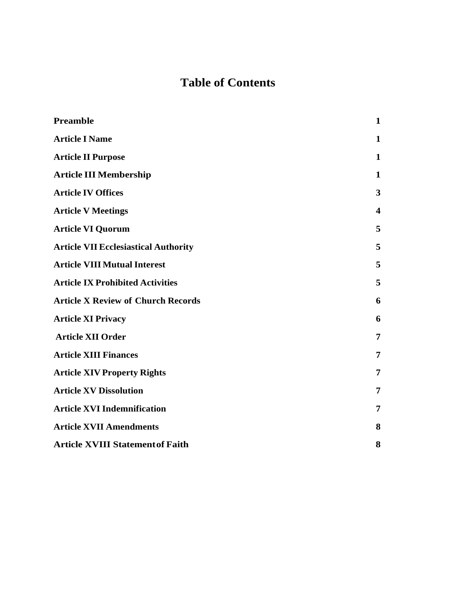# **Table of Contents**

| <b>Preamble</b>                             | $\mathbf{1}$            |
|---------------------------------------------|-------------------------|
| <b>Article I Name</b>                       | $\mathbf{1}$            |
| <b>Article II Purpose</b>                   | 1                       |
| <b>Article III Membership</b>               | 1                       |
| <b>Article IV Offices</b>                   | 3                       |
| <b>Article V Meetings</b>                   | $\overline{\mathbf{4}}$ |
| <b>Article VI Quorum</b>                    | 5                       |
| <b>Article VII Ecclesiastical Authority</b> | 5                       |
| <b>Article VIII Mutual Interest</b>         | 5                       |
| <b>Article IX Prohibited Activities</b>     | 5                       |
| <b>Article X Review of Church Records</b>   | 6                       |
| <b>Article XI Privacy</b>                   | 6                       |
| <b>Article XII Order</b>                    | 7                       |
| <b>Article XIII Finances</b>                | 7                       |
| <b>Article XIV Property Rights</b>          | 7                       |
| <b>Article XV Dissolution</b>               | 7                       |
| <b>Article XVI Indemnification</b>          | 7                       |
| <b>Article XVII Amendments</b>              | 8                       |
| <b>Article XVIII Statement of Faith</b>     | 8                       |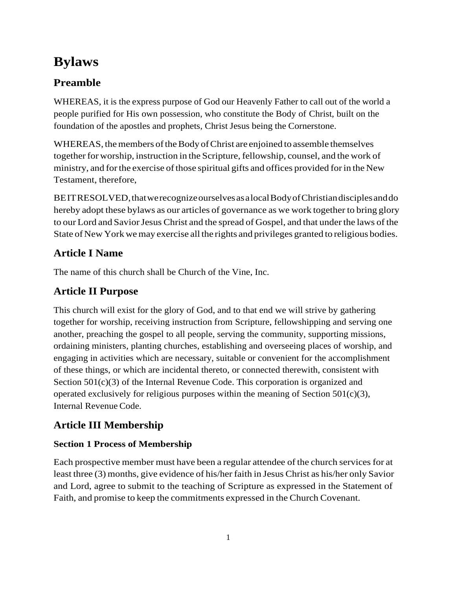# **Bylaws**

# <span id="page-1-0"></span>**Preamble**

WHEREAS, it is the express purpose of God our Heavenly Father to call out of the world a people purified for His own possession, who constitute the Body of Christ, built on the foundation of the apostles and prophets, Christ Jesus being the Cornerstone.

WHEREAS, the members of the Body of Christ are enjoined to assemble themselves together for worship, instruction in the Scripture, fellowship, counsel, and the work of ministry, and for the exercise of those spiritual gifts and offices provided for in the New Testament, therefore,

BEITRESOLVED, that we recognize ourselves as a local Body of Christian disciples and do hereby adopt these bylaws as our articles of governance as we work together to bring glory to our Lord and Savior Jesus Christ and the spread of Gospel, and that under the laws of the State of New York we may exercise all the rights and privileges granted to religious bodies.

# <span id="page-1-1"></span>**Article I Name**

The name of this church shall be Church of the Vine, Inc.

# <span id="page-1-2"></span>**Article II Purpose**

This church will exist for the glory of God, and to that end we will strive by gathering together for worship, receiving instruction from Scripture, fellowshipping and serving one another, preaching the gospel to all people, serving the community, supporting missions, ordaining ministers, planting churches, establishing and overseeing places of worship, and engaging in activities which are necessary, suitable or convenient for the accomplishment of these things, or which are incidental thereto, or connected therewith, consistent with Section  $501(c)(3)$  of the Internal Revenue Code. This corporation is organized and operated exclusively for religious purposes within the meaning of Section  $501(c)(3)$ , Internal Revenue Code.

# <span id="page-1-3"></span>**Article III Membership**

### **Section 1 Process of Membership**

Each prospective member must have been a regular attendee of the church services for at least three (3) months, give evidence of his/her faith in Jesus Christ as his/her only Savior and Lord, agree to submit to the teaching of Scripture as expressed in the Statement of Faith, and promise to keep the commitments expressed in the Church Covenant.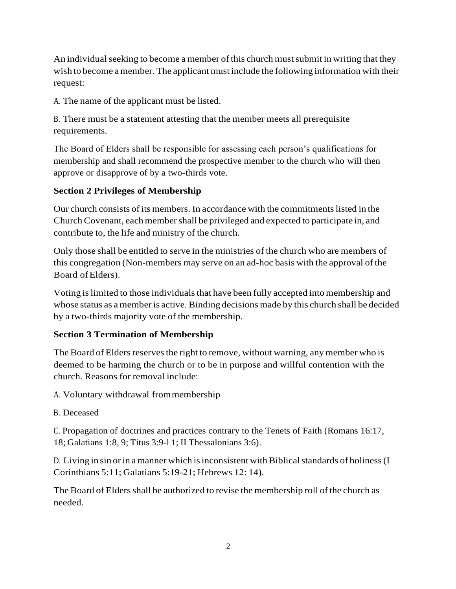An individual seeking to become a member of this church must submit in writing that they wish to become a member. The applicant must include the following information with their request:

A. The name of the applicant must be listed.

B. There must be a statement attesting that the member meets all prerequisite requirements.

The Board of Elders shall be responsible for assessing each person's qualifications for membership and shall recommend the prospective member to the church who will then approve or disapprove of by a two-thirds vote.

### **Section 2 Privileges of Membership**

Our church consists ofits members. In accordance with the commitmentslisted in the Church Covenant, each member shall be privileged and expected to participate in, and contribute to, the life and ministry of the church.

Only those shall be entitled to serve in the ministries of the church who are members of this congregation (Non-members may serve on an ad-hoc basis with the approval of the Board ofElders).

Voting islimited to those individualsthat have been fully accepted into membership and whose status as a member is active. Binding decisions made by this church shall be decided by a two-thirds majority vote of the membership.

#### **Section 3 Termination of Membership**

The Board of Elders reserves the right to remove, without warning, any member who is deemed to be harming the church or to be in purpose and willful contention with the church. Reasons for removal include:

A. Voluntary withdrawal frommembership

B. Deceased

C. Propagation of doctrines and practices contrary to the Tenets of Faith (Romans 16:17, 18; Galatians 1:8, 9; Titus 3:9-l 1; II Thessalonians 3:6).

D. Living in sin or in a manner which is inconsistent with Biblical standards of holiness (I Corinthians 5:11; Galatians 5:19-21; Hebrews 12: 14).

The Board of Elders shall be authorized to revise the membership roll of the church as needed.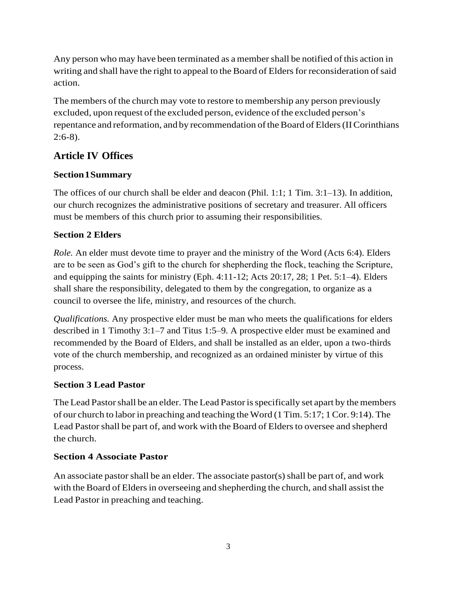Any person who may have been terminated as a member shall be notified of this action in writing and shall have the right to appeal to the Board of Elders for reconsideration of said action.

The members of the church may vote to restore to membership any person previously excluded, upon request of the excluded person, evidence of the excluded person's repentance and reformation, and by recommendation of the Board of Elders (II Corinthians 2:6-8).

### <span id="page-3-0"></span>**Article IV Offices**

### **Section1Summary**

The offices of our church shall be elder and deacon (Phil. 1:1; 1 Tim. 3:1–13). In addition, our church recognizes the administrative positions of secretary and treasurer. All officers must be members of this church prior to assuming their responsibilities.

### **Section 2 Elders**

*Role.* An elder must devote time to prayer and the ministry of the Word (Acts 6:4). Elders are to be seen as God's gift to the church for shepherding the flock, teaching the Scripture, and equipping the saints for ministry (Eph. 4:11-12; Acts 20:17, 28; 1 Pet. 5:1–4). Elders shall share the responsibility, delegated to them by the congregation, to organize as a council to oversee the life, ministry, and resources of the church.

*Qualifications.* Any prospective elder must be man who meets the qualifications for elders described in 1 Timothy 3:1–7 and Titus 1:5–9. A prospective elder must be examined and recommended by the Board of Elders, and shall be installed as an elder, upon a two-thirds vote of the church membership, and recognized as an ordained minister by virtue of this process.

### **Section 3 Lead Pastor**

The Lead Pastor shall be an elder. The Lead Pastor is specifically set apart by the members of our church to laborin preaching and teaching the Word (1 Tim. 5:17; 1Cor. 9:14). The Lead Pastor shall be part of, and work with the Board of Elders to oversee and shepherd the church.

### **Section 4 Associate Pastor**

An associate pastor shall be an elder. The associate pastor(s) shall be part of, and work with the Board of Elders in overseeing and shepherding the church, and shall assist the Lead Pastor in preaching and teaching.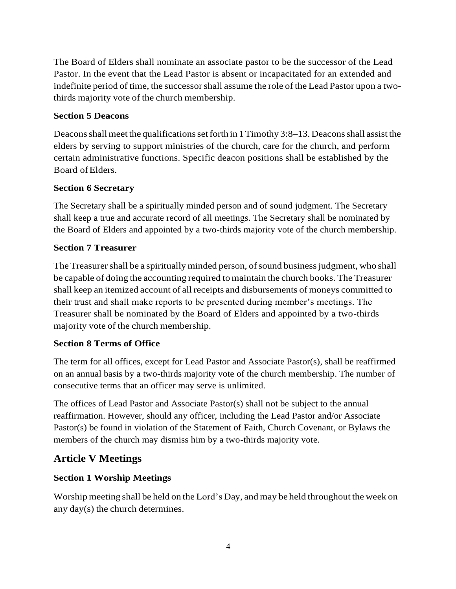The Board of Elders shall nominate an associate pastor to be the successor of the Lead Pastor. In the event that the Lead Pastor is absent or incapacitated for an extended and indefinite period of time, the successorshall assume the role of the Lead Pastor upon a twothirds majority vote of the church membership.

#### **Section 5 Deacons**

Deacons shall meet the qualifications set forth in 1 Timothy 3:8–13. Deacons shall assist the elders by serving to support ministries of the church, care for the church, and perform certain administrative functions. Specific deacon positions shall be established by the Board ofElders.

#### **Section 6 Secretary**

The Secretary shall be a spiritually minded person and of sound judgment. The Secretary shall keep a true and accurate record of all meetings. The Secretary shall be nominated by the Board of Elders and appointed by a two-thirds majority vote of the church membership.

#### **Section 7 Treasurer**

The Treasurer shall be a spiritually minded person, of sound business judgment, who shall be capable of doing the accounting required to maintain the church books. The Treasurer shall keep an itemized account of all receipts and disbursements of moneys committed to their trust and shall make reports to be presented during member's meetings. The Treasurer shall be nominated by the Board of Elders and appointed by a two-thirds majority vote of the church membership.

#### **Section 8 Terms of Office**

The term for all offices, except for Lead Pastor and Associate Pastor(s), shall be reaffirmed on an annual basis by a two-thirds majority vote of the church membership. The number of consecutive terms that an officer may serve is unlimited.

The offices of Lead Pastor and Associate Pastor(s) shall not be subject to the annual reaffirmation. However, should any officer, including the Lead Pastor and/or Associate Pastor(s) be found in violation of the Statement of Faith, Church Covenant, or Bylaws the members of the church may dismiss him by a two-thirds majority vote.

### <span id="page-4-0"></span>**Article V Meetings**

#### **Section 1 Worship Meetings**

Worship meeting shall be held on the Lord's Day, and may be held throughout the week on any day(s) the church determines.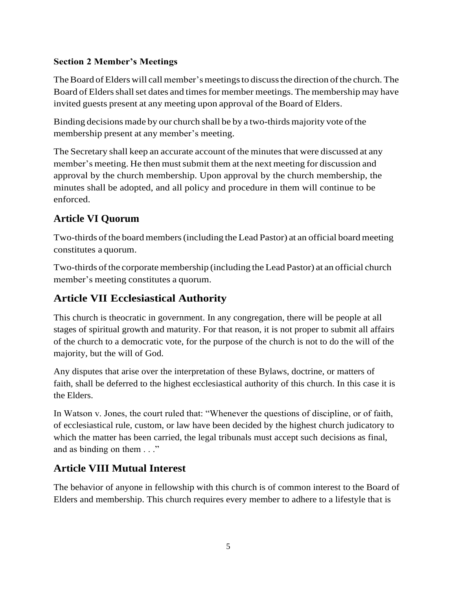#### **Section 2 Member's Meetings**

The Board of Elders will call member's meetings to discuss the direction of the church. The Board of Elders shall set dates and times for member meetings. The membership may have invited guests present at any meeting upon approval of the Board of Elders.

Binding decisions made by our church shall be by a two-thirds majority vote of the membership present at any member's meeting.

The Secretary shall keep an accurate account of the minutes that were discussed at any member's meeting. He then must submit them at the next meeting for discussion and approval by the church membership. Upon approval by the church membership, the minutes shall be adopted, and all policy and procedure in them will continue to be enforced.

# <span id="page-5-0"></span>**Article VI Quorum**

Two-thirds ofthe board members(including the Lead Pastor) at an official board meeting constitutes a quorum.

Two-thirds of the corporate membership (including the Lead Pastor) at an official church member's meeting constitutes a quorum.

# <span id="page-5-1"></span>**Article VII Ecclesiastical Authority**

This church is theocratic in government. In any congregation, there will be people at all stages of spiritual growth and maturity. For that reason, it is not proper to submit all affairs of the church to a democratic vote, for the purpose of the church is not to do the will of the majority, but the will of God.

Any disputes that arise over the interpretation of these Bylaws, doctrine, or matters of faith, shall be deferred to the highest ecclesiastical authority of this church. In this case it is the Elders.

In Watson v. Jones, the court ruled that: "Whenever the questions of discipline, or of faith, of ecclesiastical rule, custom, or law have been decided by the highest church judicatory to which the matter has been carried, the legal tribunals must accept such decisions as final, and as binding on them . . ."

### <span id="page-5-2"></span>**Article VIII Mutual Interest**

The behavior of anyone in fellowship with this church is of common interest to the Board of Elders and membership. This church requires every member to adhere to a lifestyle that is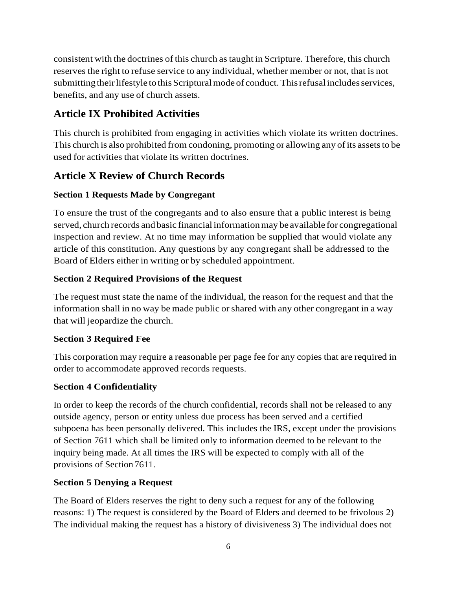consistent with the doctrines of this church as taught in Scripture. Therefore, this church reserves the right to refuse service to any individual, whether member or not, that is not submitting their lifestyle to this Scriptural mode of conduct. This refusal includes services, benefits, and any use of church assets.

# <span id="page-6-0"></span>**Article IX Prohibited Activities**

This church is prohibited from engaging in activities which violate its written doctrines. This church is also prohibited from condoning, promoting or allowing any of its assets to be used for activities that violate its written doctrines.

## <span id="page-6-1"></span>**Article X Review of Church Records**

#### **Section 1 Requests Made by Congregant**

To ensure the trust of the congregants and to also ensure that a public interest is being served, church records and basic financial information may be available for congregational inspection and review. At no time may information be supplied that would violate any article of this constitution. Any questions by any congregant shall be addressed to the Board of Elders either in writing or by scheduled appointment.

#### **Section 2 Required Provisions of the Request**

The request must state the name of the individual, the reason for the request and that the information shall in no way be made public orshared with any other congregant in a way that will jeopardize the church.

#### **Section 3 Required Fee**

This corporation may require a reasonable per page fee for any copies that are required in order to accommodate approved records requests.

### **Section 4 Confidentiality**

In order to keep the records of the church confidential, records shall not be released to any outside agency, person or entity unless due process has been served and a certified subpoena has been personally delivered. This includes the IRS, except under the provisions of Section 7611 which shall be limited only to information deemed to be relevant to the inquiry being made. At all times the IRS will be expected to comply with all of the provisions of Section 7611.

### **Section 5 Denying a Request**

The Board of Elders reserves the right to deny such a request for any of the following reasons: 1) The request is considered by the Board of Elders and deemed to be frivolous 2) The individual making the request has a history of divisiveness 3) The individual does not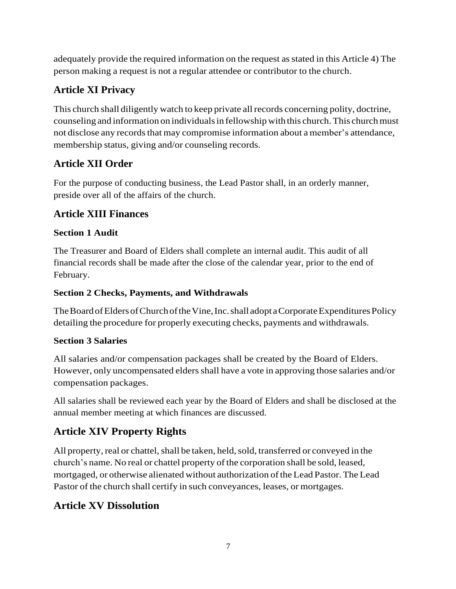adequately provide the required information on the request asstated in this Article 4) The person making a request is not a regular attendee or contributor to the church.

# <span id="page-7-0"></span>**Article XI Privacy**

This church shall diligently watch to keep private allrecords concerning polity, doctrine, counseling and information on individuals in fellowship with this church. This church must not disclose any records that may compromise information about a member's attendance, membership status, giving and/or counseling records.

# <span id="page-7-1"></span>**Article XII Order**

For the purpose of conducting business, the Lead Pastor shall, in an orderly manner, preside over all of the affairs of the church.

# <span id="page-7-2"></span>**Article XIII Finances**

### **Section 1 Audit**

The Treasurer and Board of Elders shall complete an internal audit. This audit of all financial records shall be made after the close of the calendar year, prior to the end of February.

### **Section 2 Checks, Payments, and Withdrawals**

The Board of Elders of Church of the Vine, Inc. shall adopt a Corporate Expenditures Policy detailing the procedure for properly executing checks, payments and withdrawals.

### **Section 3 Salaries**

All salaries and/or compensation packages shall be created by the Board of Elders. However, only uncompensated eldersshall have a vote in approving those salaries and/or compensation packages.

All salaries shall be reviewed each year by the Board of Elders and shall be disclosed at the annual member meeting at which finances are discussed.

# <span id="page-7-3"></span>**Article XIV Property Rights**

All property, real or chattel, shall be taken, held, sold, transferred or conveyed in the church's name. No real or chattel property of the corporation shall be sold, leased, mortgaged, or otherwise alienated without authorization of the Lead Pastor. The Lead Pastor of the church shall certify in such conveyances, leases, or mortgages.

# <span id="page-7-4"></span>**Article XV Dissolution**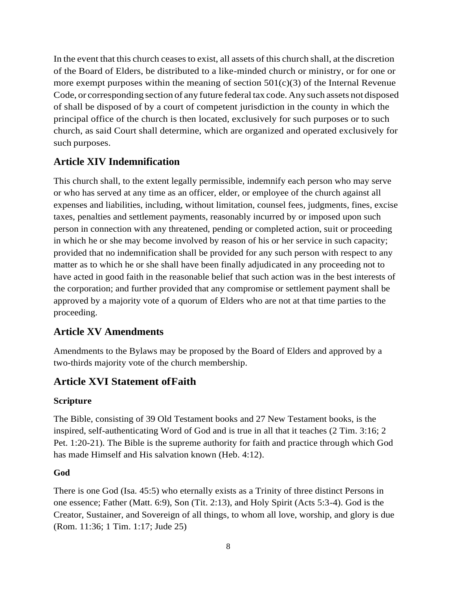In the event that this church ceasesto exist, all assets of this church shall, at the discretion of the Board of Elders, be distributed to a like-minded church or ministry, or for one or more exempt purposes within the meaning of section  $501(c)(3)$  of the Internal Revenue Code, or corresponding section of any future federal tax code. Any such assets not disposed of shall be disposed of by a court of competent jurisdiction in the county in which the principal office of the church is then located, exclusively for such purposes or to such church, as said Court shall determine, which are organized and operated exclusively for such purposes.

### **Article XIV Indemnification**

This church shall, to the extent legally permissible, indemnify each person who may serve or who has served at any time as an officer, elder, or employee of the church against all expenses and liabilities, including, without limitation, counsel fees, judgments, fines, excise taxes, penalties and settlement payments, reasonably incurred by or imposed upon such person in connection with any threatened, pending or completed action, suit or proceeding in which he or she may become involved by reason of his or her service in such capacity; provided that no indemnification shall be provided for any such person with respect to any matter as to which he or she shall have been finally adjudicated in any proceeding not to have acted in good faith in the reasonable belief that such action was in the best interests of the corporation; and further provided that any compromise or settlement payment shall be approved by a majority vote of a quorum of Elders who are not at that time parties to the proceeding.

### **Article XV Amendments**

Amendments to the Bylaws may be proposed by the Board of Elders and approved by a two-thirds majority vote of the church membership.

### **Article XVI Statement ofFaith**

#### **Scripture**

The Bible, consisting of 39 Old Testament books and 27 New Testament books, is the inspired, self-authenticating Word of God and is true in all that it teaches (2 Tim. 3:16; 2 Pet. 1:20-21). The Bible is the supreme authority for faith and practice through which God has made Himself and His salvation known (Heb. 4:12).

#### **God**

There is one God (Isa. 45:5) who eternally exists as a Trinity of three distinct Persons in one essence; Father (Matt. 6:9), Son (Tit. 2:13), and Holy Spirit (Acts 5:3-4). God is the Creator, Sustainer, and Sovereign of all things, to whom all love, worship, and glory is due (Rom. 11:36; 1 Tim. 1:17; Jude 25)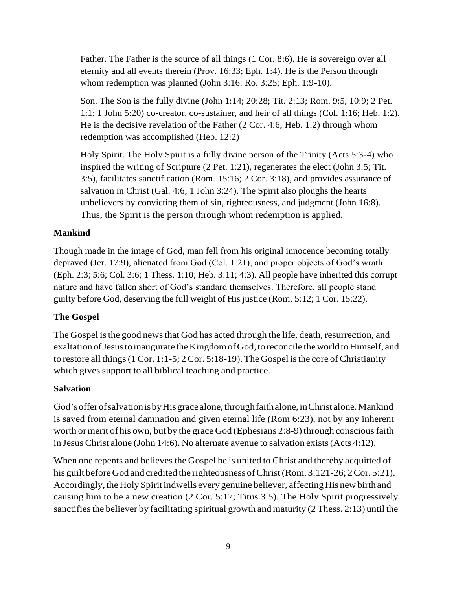Father. The Father is the source of all things (1 Cor. 8:6). He is sovereign over all eternity and all events therein (Prov. 16:33; Eph. 1:4). He is the Person through whom redemption was planned (John 3:16: Ro. 3:25; Eph. 1:9-10).

Son. The Son is the fully divine (John 1:14; 20:28; Tit. 2:13; Rom. 9:5, 10:9; 2 Pet. 1:1; 1 John 5:20) co-creator, co-sustainer, and heir of all things (Col. 1:16; Heb. 1:2). He is the decisive revelation of the Father (2 Cor. 4:6; Heb. 1:2) through whom redemption was accomplished (Heb. 12:2)

Holy Spirit. The Holy Spirit is a fully divine person of the Trinity (Acts 5:3-4) who inspired the writing of Scripture (2 Pet. 1:21), regenerates the elect (John 3:5; Tit. 3:5), facilitates sanctification (Rom. 15:16; 2 Cor. 3:18), and provides assurance of salvation in Christ (Gal. 4:6; 1 John 3:24). The Spirit also ploughs the hearts unbelievers by convicting them of sin, righteousness, and judgment (John 16:8). Thus, the Spirit is the person through whom redemption is applied.

#### **Mankind**

Though made in the image of God, man fell from his original innocence becoming totally depraved (Jer. 17:9), alienated from God (Col. 1:21), and proper objects of God's wrath (Eph. 2:3; 5:6; Col. 3:6; 1 Thess. 1:10; Heb. 3:11; 4:3). All people have inherited this corrupt nature and have fallen short of God's standard themselves. Therefore, all people stand guilty before God, deserving the full weight of His justice (Rom. 5:12; 1 Cor. 15:22).

#### **The Gospel**

The Gospel is the good news that God has acted through the life, death, resurrection, and exaltation of Jesus to inaugurate the Kingdom of God, to reconcile the world to Himself, and to restore all things  $(1\text{Cor. } 1:1-5; 2\text{Cor. } 5:18-19)$ . The Gospel is the core of Christianity which gives support to all biblical teaching and practice.

#### **Salvation**

God's offer of salvation is by His grace alone, through faith alone, in Christ alone. Mankind is saved from eternal damnation and given eternal life (Rom 6:23), not by any inherent worth or merit of his own, but by the grace God (Ephesians  $2:8-9$ ) through conscious faith in Jesus Christ alone (John 14:6). No alternate avenue to salvation exists(Acts 4:12).

When one repents and believes the Gospel he is united to Christ and thereby acquitted of his guilt before God and credited the righteousness of Christ (Rom. 3:121-26; 2 Cor. 5:21). Accordingly, the Holy Spirit indwells every genuine believer, affecting His new birth and causing him to be a new creation (2 Cor. 5:17; Titus 3:5). The Holy Spirit progressively sanctifies the believer by facilitating spiritual growth and maturity (2 Thess. 2:13) until the